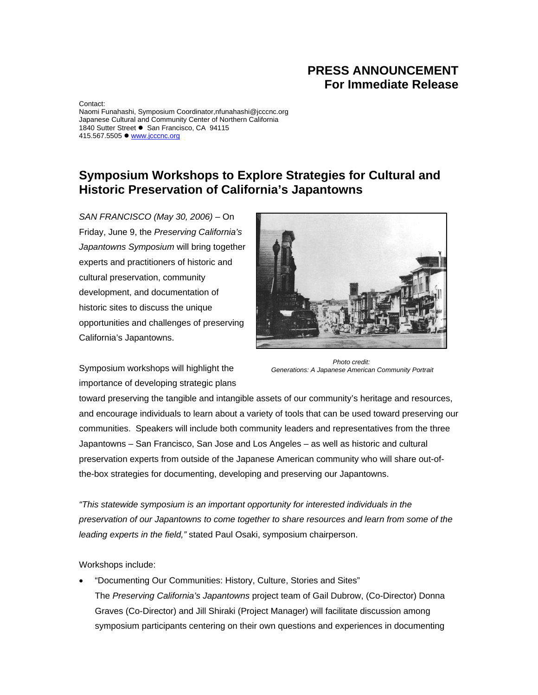## **PRESS ANNOUNCEMENT For Immediate Release**

Contact: Naomi Funahashi, Symposium Coordinator,nfunahashi@jcccnc.org Japanese Cultural and Community Center of Northern California 1840 Sutter Street • San Francisco, CA 94115 415.567.5505 · www.jcccnc.org

## **Symposium Workshops to Explore Strategies for Cultural and Historic Preservation of California's Japantowns**

*SAN FRANCISCO (May 30, 2006)* – On Friday, June 9, the *Preserving California's Japantowns Symposium* will bring together experts and practitioners of historic and cultural preservation, community development, and documentation of historic sites to discuss the unique opportunities and challenges of preserving California's Japantowns.



Symposium workshops will highlight the importance of developing strategic plans

*Photo credit: Generations: A Japanese American Community Portrait* 

toward preserving the tangible and intangible assets of our community's heritage and resources, and encourage individuals to learn about a variety of tools that can be used toward preserving our communities. Speakers will include both community leaders and representatives from the three Japantowns – San Francisco, San Jose and Los Angeles – as well as historic and cultural preservation experts from outside of the Japanese American community who will share out-ofthe-box strategies for documenting, developing and preserving our Japantowns.

*"This statewide symposium is an important opportunity for interested individuals in the preservation of our Japantowns to come together to share resources and learn from some of the leading experts in the field,"* stated Paul Osaki, symposium chairperson.

Workshops include:

• "Documenting Our Communities: History, Culture, Stories and Sites" The *Preserving California's Japantowns* project team of Gail Dubrow, (Co-Director) Donna Graves (Co-Director) and Jill Shiraki (Project Manager) will facilitate discussion among symposium participants centering on their own questions and experiences in documenting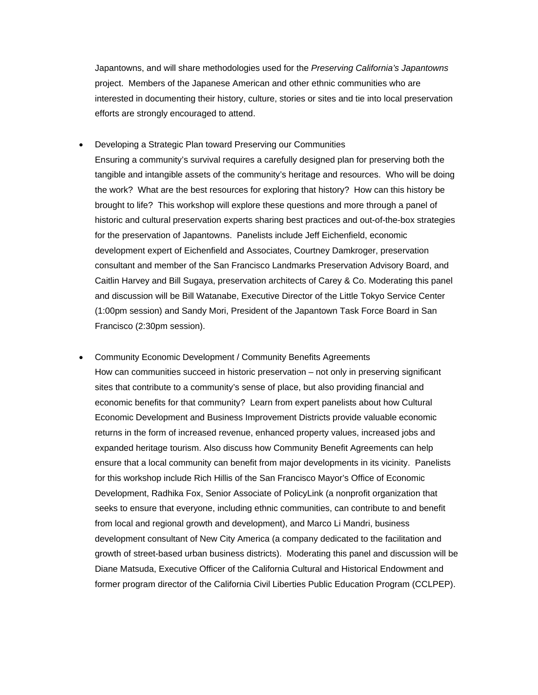Japantowns, and will share methodologies used for the *Preserving California's Japantowns* project. Members of the Japanese American and other ethnic communities who are interested in documenting their history, culture, stories or sites and tie into local preservation efforts are strongly encouraged to attend.

- Developing a Strategic Plan toward Preserving our Communities Ensuring a community's survival requires a carefully designed plan for preserving both the tangible and intangible assets of the community's heritage and resources. Who will be doing the work? What are the best resources for exploring that history? How can this history be brought to life? This workshop will explore these questions and more through a panel of historic and cultural preservation experts sharing best practices and out-of-the-box strategies for the preservation of Japantowns. Panelists include Jeff Eichenfield, economic development expert of Eichenfield and Associates, Courtney Damkroger, preservation consultant and member of the San Francisco Landmarks Preservation Advisory Board, and Caitlin Harvey and Bill Sugaya, preservation architects of Carey & Co. Moderating this panel and discussion will be Bill Watanabe, Executive Director of the Little Tokyo Service Center (1:00pm session) and Sandy Mori, President of the Japantown Task Force Board in San Francisco (2:30pm session).
- Community Economic Development / Community Benefits Agreements How can communities succeed in historic preservation – not only in preserving significant sites that contribute to a community's sense of place, but also providing financial and economic benefits for that community? Learn from expert panelists about how Cultural Economic Development and Business Improvement Districts provide valuable economic returns in the form of increased revenue, enhanced property values, increased jobs and expanded heritage tourism. Also discuss how Community Benefit Agreements can help ensure that a local community can benefit from major developments in its vicinity. Panelists for this workshop include Rich Hillis of the San Francisco Mayor's Office of Economic Development, Radhika Fox, Senior Associate of PolicyLink (a nonprofit organization that seeks to ensure that everyone, including ethnic communities, can contribute to and benefit from local and regional growth and development), and Marco Li Mandri, business development consultant of New City America (a company dedicated to the facilitation and growth of street-based urban business districts). Moderating this panel and discussion will be Diane Matsuda, Executive Officer of the California Cultural and Historical Endowment and former program director of the California Civil Liberties Public Education Program (CCLPEP).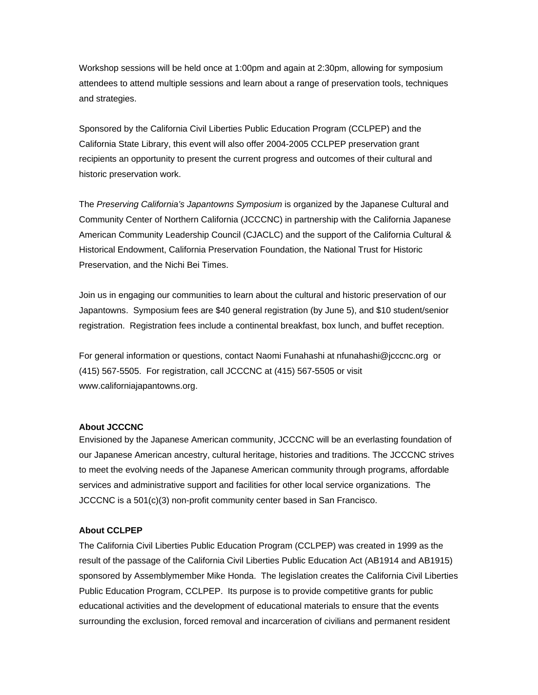Workshop sessions will be held once at 1:00pm and again at 2:30pm, allowing for symposium attendees to attend multiple sessions and learn about a range of preservation tools, techniques and strategies.

Sponsored by the California Civil Liberties Public Education Program (CCLPEP) and the California State Library, this event will also offer 2004-2005 CCLPEP preservation grant recipients an opportunity to present the current progress and outcomes of their cultural and historic preservation work.

The *Preserving California's Japantowns Symposium* is organized by the Japanese Cultural and Community Center of Northern California (JCCCNC) in partnership with the California Japanese American Community Leadership Council (CJACLC) and the support of the California Cultural & Historical Endowment, California Preservation Foundation, the National Trust for Historic Preservation, and the Nichi Bei Times.

Join us in engaging our communities to learn about the cultural and historic preservation of our Japantowns. Symposium fees are \$40 general registration (by June 5), and \$10 student/senior registration. Registration fees include a continental breakfast, box lunch, and buffet reception.

For general information or questions, contact Naomi Funahashi at nfunahashi@jcccnc.org or (415) 567-5505. For registration, call JCCCNC at (415) 567-5505 or visit www.californiajapantowns.org.

## **About JCCCNC**

Envisioned by the Japanese American community, JCCCNC will be an everlasting foundation of our Japanese American ancestry, cultural heritage, histories and traditions. The JCCCNC strives to meet the evolving needs of the Japanese American community through programs, affordable services and administrative support and facilities for other local service organizations. The JCCCNC is a 501(c)(3) non-profit community center based in San Francisco.

## **About CCLPEP**

The California Civil Liberties Public Education Program (CCLPEP) was created in 1999 as the result of the passage of the California Civil Liberties Public Education Act (AB1914 and AB1915) sponsored by Assemblymember Mike Honda. The legislation creates the California Civil Liberties Public Education Program, CCLPEP. Its purpose is to provide competitive grants for public educational activities and the development of educational materials to ensure that the events surrounding the exclusion, forced removal and incarceration of civilians and permanent resident